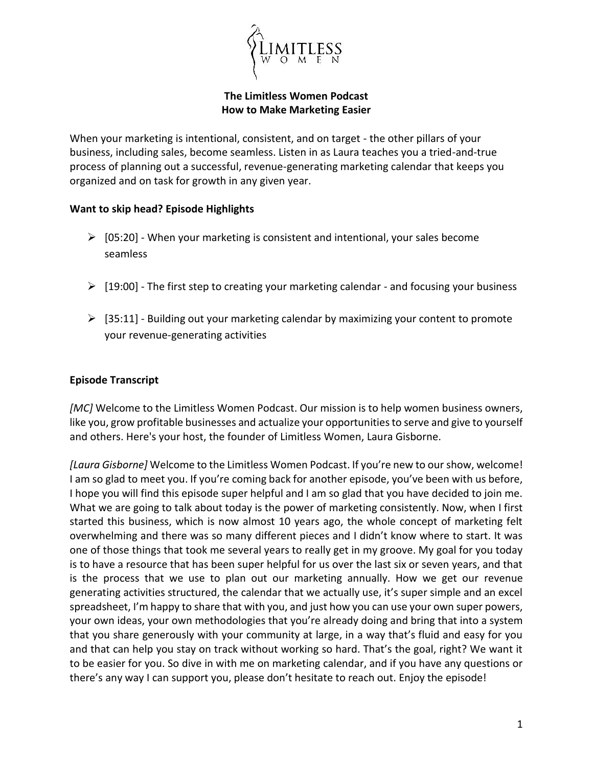

## **The Limitless Women Podcast How to Make Marketing Easier**

When your marketing is intentional, consistent, and on target - the other pillars of your business, including sales, become seamless. Listen in as Laura teaches you a tried-and-true process of planning out a successful, revenue-generating marketing calendar that keeps you organized and on task for growth in any given year.

## **Want to skip head? Episode Highlights**

- $\triangleright$  [05:20] When your marketing is consistent and intentional, your sales become seamless
- $\triangleright$  [19:00] The first step to creating your marketing calendar and focusing your business
- $\triangleright$  [35:11] Building out your marketing calendar by maximizing your content to promote your revenue-generating activities

## **Episode Transcript**

*[MC]* Welcome to the Limitless Women Podcast. Our mission is to help women business owners, like you, grow profitable businesses and actualize your opportunities to serve and give to yourself and others. Here's your host, the founder of Limitless Women, Laura Gisborne.

*[Laura Gisborne]* Welcome to the Limitless Women Podcast. If you're new to our show, welcome! I am so glad to meet you. If you're coming back for another episode, you've been with us before, I hope you will find this episode super helpful and I am so glad that you have decided to join me. What we are going to talk about today is the power of marketing consistently. Now, when I first started this business, which is now almost 10 years ago, the whole concept of marketing felt overwhelming and there was so many different pieces and I didn't know where to start. It was one of those things that took me several years to really get in my groove. My goal for you today is to have a resource that has been super helpful for us over the last six or seven years, and that is the process that we use to plan out our marketing annually. How we get our revenue generating activities structured, the calendar that we actually use, it's super simple and an excel spreadsheet, I'm happy to share that with you, and just how you can use your own super powers, your own ideas, your own methodologies that you're already doing and bring that into a system that you share generously with your community at large, in a way that's fluid and easy for you and that can help you stay on track without working so hard. That's the goal, right? We want it to be easier for you. So dive in with me on marketing calendar, and if you have any questions or there's any way I can support you, please don't hesitate to reach out. Enjoy the episode!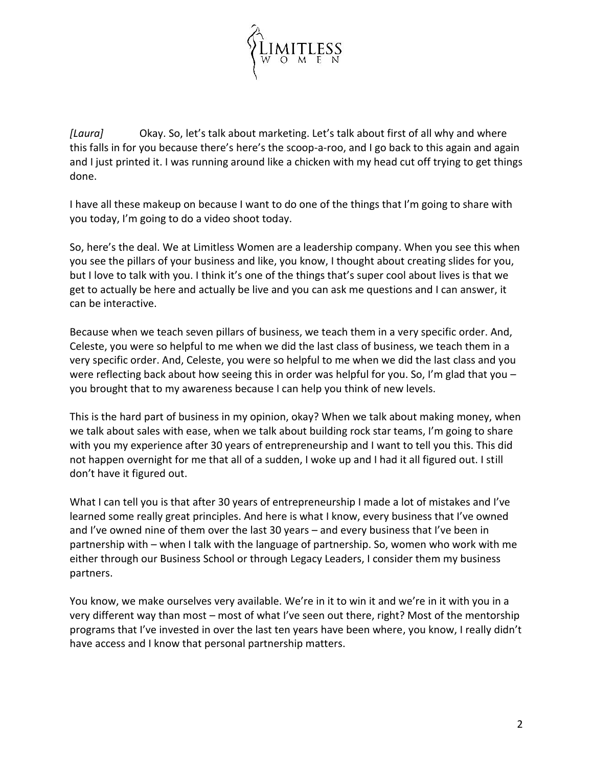

*[Laura]* Okay. So, let's talk about marketing. Let's talk about first of all why and where this falls in for you because there's here's the scoop-a-roo, and I go back to this again and again and I just printed it. I was running around like a chicken with my head cut off trying to get things done.

I have all these makeup on because I want to do one of the things that I'm going to share with you today, I'm going to do a video shoot today.

So, here's the deal. We at Limitless Women are a leadership company. When you see this when you see the pillars of your business and like, you know, I thought about creating slides for you, but I love to talk with you. I think it's one of the things that's super cool about lives is that we get to actually be here and actually be live and you can ask me questions and I can answer, it can be interactive.

Because when we teach seven pillars of business, we teach them in a very specific order. And, Celeste, you were so helpful to me when we did the last class of business, we teach them in a very specific order. And, Celeste, you were so helpful to me when we did the last class and you were reflecting back about how seeing this in order was helpful for you. So, I'm glad that you – you brought that to my awareness because I can help you think of new levels.

This is the hard part of business in my opinion, okay? When we talk about making money, when we talk about sales with ease, when we talk about building rock star teams, I'm going to share with you my experience after 30 years of entrepreneurship and I want to tell you this. This did not happen overnight for me that all of a sudden, I woke up and I had it all figured out. I still don't have it figured out.

What I can tell you is that after 30 years of entrepreneurship I made a lot of mistakes and I've learned some really great principles. And here is what I know, every business that I've owned and I've owned nine of them over the last 30 years – and every business that I've been in partnership with – when I talk with the language of partnership. So, women who work with me either through our Business School or through Legacy Leaders, I consider them my business partners.

You know, we make ourselves very available. We're in it to win it and we're in it with you in a very different way than most – most of what I've seen out there, right? Most of the mentorship programs that I've invested in over the last ten years have been where, you know, I really didn't have access and I know that personal partnership matters.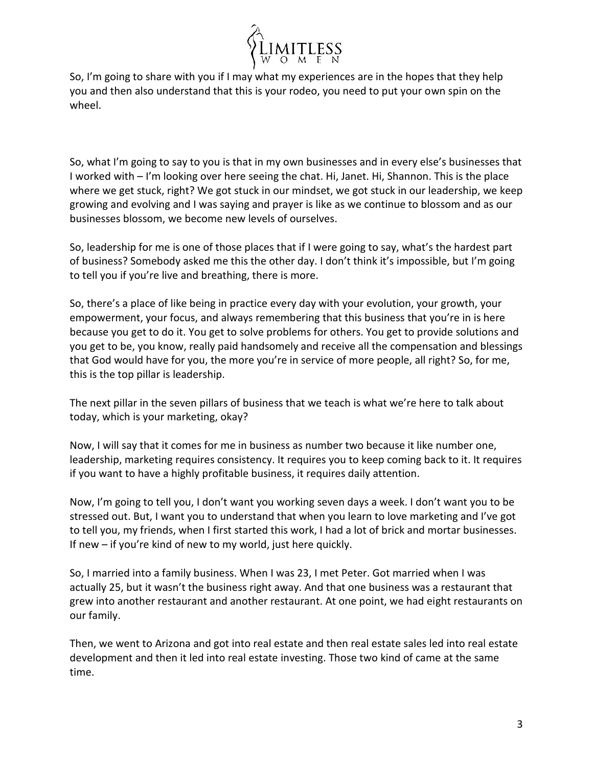

So, I'm going to share with you if I may what my experiences are in the hopes that they help you and then also understand that this is your rodeo, you need to put your own spin on the wheel.

So, what I'm going to say to you is that in my own businesses and in every else's businesses that I worked with – I'm looking over here seeing the chat. Hi, Janet. Hi, Shannon. This is the place where we get stuck, right? We got stuck in our mindset, we got stuck in our leadership, we keep growing and evolving and I was saying and prayer is like as we continue to blossom and as our businesses blossom, we become new levels of ourselves.

So, leadership for me is one of those places that if I were going to say, what's the hardest part of business? Somebody asked me this the other day. I don't think it's impossible, but I'm going to tell you if you're live and breathing, there is more.

So, there's a place of like being in practice every day with your evolution, your growth, your empowerment, your focus, and always remembering that this business that you're in is here because you get to do it. You get to solve problems for others. You get to provide solutions and you get to be, you know, really paid handsomely and receive all the compensation and blessings that God would have for you, the more you're in service of more people, all right? So, for me, this is the top pillar is leadership.

The next pillar in the seven pillars of business that we teach is what we're here to talk about today, which is your marketing, okay?

Now, I will say that it comes for me in business as number two because it like number one, leadership, marketing requires consistency. It requires you to keep coming back to it. It requires if you want to have a highly profitable business, it requires daily attention.

Now, I'm going to tell you, I don't want you working seven days a week. I don't want you to be stressed out. But, I want you to understand that when you learn to love marketing and I've got to tell you, my friends, when I first started this work, I had a lot of brick and mortar businesses. If new – if you're kind of new to my world, just here quickly.

So, I married into a family business. When I was 23, I met Peter. Got married when I was actually 25, but it wasn't the business right away. And that one business was a restaurant that grew into another restaurant and another restaurant. At one point, we had eight restaurants on our family.

Then, we went to Arizona and got into real estate and then real estate sales led into real estate development and then it led into real estate investing. Those two kind of came at the same time.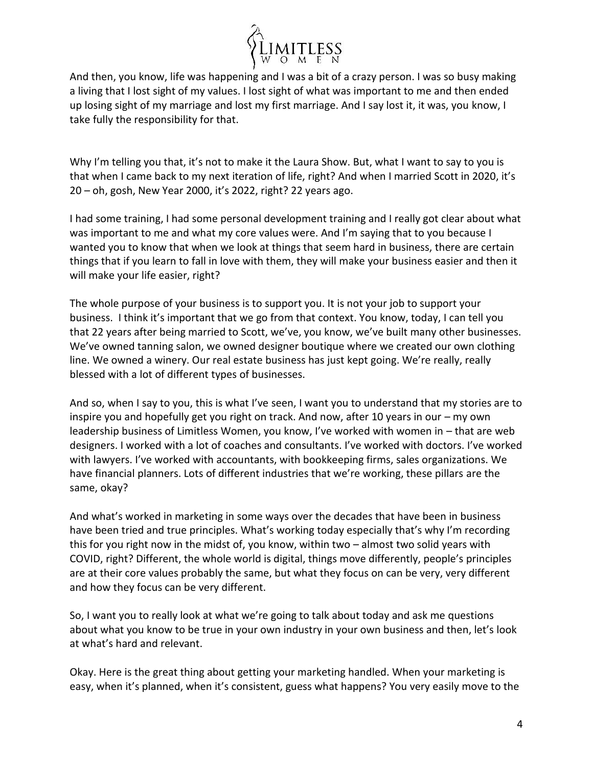

And then, you know, life was happening and I was a bit of a crazy person. I was so busy making a living that I lost sight of my values. I lost sight of what was important to me and then ended up losing sight of my marriage and lost my first marriage. And I say lost it, it was, you know, I take fully the responsibility for that.

Why I'm telling you that, it's not to make it the Laura Show. But, what I want to say to you is that when I came back to my next iteration of life, right? And when I married Scott in 2020, it's 20 – oh, gosh, New Year 2000, it's 2022, right? 22 years ago.

I had some training, I had some personal development training and I really got clear about what was important to me and what my core values were. And I'm saying that to you because I wanted you to know that when we look at things that seem hard in business, there are certain things that if you learn to fall in love with them, they will make your business easier and then it will make your life easier, right?

The whole purpose of your business is to support you. It is not your job to support your business. I think it's important that we go from that context. You know, today, I can tell you that 22 years after being married to Scott, we've, you know, we've built many other businesses. We've owned tanning salon, we owned designer boutique where we created our own clothing line. We owned a winery. Our real estate business has just kept going. We're really, really blessed with a lot of different types of businesses.

And so, when I say to you, this is what I've seen, I want you to understand that my stories are to inspire you and hopefully get you right on track. And now, after 10 years in our – my own leadership business of Limitless Women, you know, I've worked with women in – that are web designers. I worked with a lot of coaches and consultants. I've worked with doctors. I've worked with lawyers. I've worked with accountants, with bookkeeping firms, sales organizations. We have financial planners. Lots of different industries that we're working, these pillars are the same, okay?

And what's worked in marketing in some ways over the decades that have been in business have been tried and true principles. What's working today especially that's why I'm recording this for you right now in the midst of, you know, within two – almost two solid years with COVID, right? Different, the whole world is digital, things move differently, people's principles are at their core values probably the same, but what they focus on can be very, very different and how they focus can be very different.

So, I want you to really look at what we're going to talk about today and ask me questions about what you know to be true in your own industry in your own business and then, let's look at what's hard and relevant.

Okay. Here is the great thing about getting your marketing handled. When your marketing is easy, when it's planned, when it's consistent, guess what happens? You very easily move to the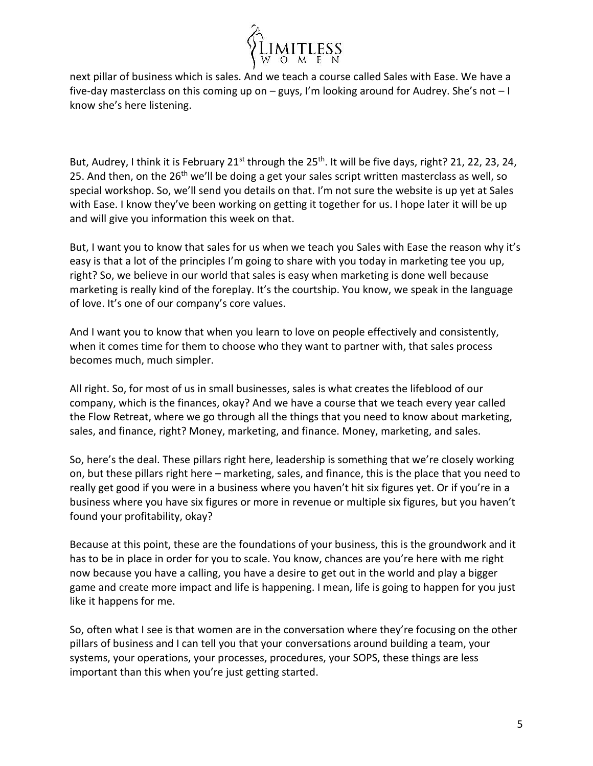

next pillar of business which is sales. And we teach a course called Sales with Ease. We have a five-day masterclass on this coming up on – guys, I'm looking around for Audrey. She's not – I know she's here listening.

But, Audrey, I think it is February 21<sup>st</sup> through the 25<sup>th</sup>. It will be five days, right? 21, 22, 23, 24, 25. And then, on the  $26<sup>th</sup>$  we'll be doing a get your sales script written masterclass as well, so special workshop. So, we'll send you details on that. I'm not sure the website is up yet at Sales with Ease. I know they've been working on getting it together for us. I hope later it will be up and will give you information this week on that.

But, I want you to know that sales for us when we teach you Sales with Ease the reason why it's easy is that a lot of the principles I'm going to share with you today in marketing tee you up, right? So, we believe in our world that sales is easy when marketing is done well because marketing is really kind of the foreplay. It's the courtship. You know, we speak in the language of love. It's one of our company's core values.

And I want you to know that when you learn to love on people effectively and consistently, when it comes time for them to choose who they want to partner with, that sales process becomes much, much simpler.

All right. So, for most of us in small businesses, sales is what creates the lifeblood of our company, which is the finances, okay? And we have a course that we teach every year called the Flow Retreat, where we go through all the things that you need to know about marketing, sales, and finance, right? Money, marketing, and finance. Money, marketing, and sales.

So, here's the deal. These pillars right here, leadership is something that we're closely working on, but these pillars right here – marketing, sales, and finance, this is the place that you need to really get good if you were in a business where you haven't hit six figures yet. Or if you're in a business where you have six figures or more in revenue or multiple six figures, but you haven't found your profitability, okay?

Because at this point, these are the foundations of your business, this is the groundwork and it has to be in place in order for you to scale. You know, chances are you're here with me right now because you have a calling, you have a desire to get out in the world and play a bigger game and create more impact and life is happening. I mean, life is going to happen for you just like it happens for me.

So, often what I see is that women are in the conversation where they're focusing on the other pillars of business and I can tell you that your conversations around building a team, your systems, your operations, your processes, procedures, your SOPS, these things are less important than this when you're just getting started.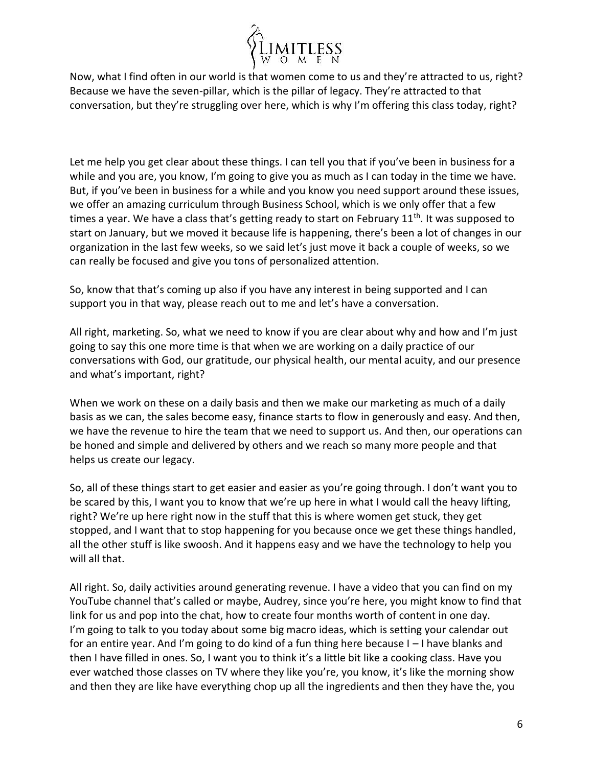

Now, what I find often in our world is that women come to us and they're attracted to us, right? Because we have the seven-pillar, which is the pillar of legacy. They're attracted to that conversation, but they're struggling over here, which is why I'm offering this class today, right?

Let me help you get clear about these things. I can tell you that if you've been in business for a while and you are, you know, I'm going to give you as much as I can today in the time we have. But, if you've been in business for a while and you know you need support around these issues, we offer an amazing curriculum through Business School, which is we only offer that a few times a year. We have a class that's getting ready to start on February  $11<sup>th</sup>$ . It was supposed to start on January, but we moved it because life is happening, there's been a lot of changes in our organization in the last few weeks, so we said let's just move it back a couple of weeks, so we can really be focused and give you tons of personalized attention.

So, know that that's coming up also if you have any interest in being supported and I can support you in that way, please reach out to me and let's have a conversation.

All right, marketing. So, what we need to know if you are clear about why and how and I'm just going to say this one more time is that when we are working on a daily practice of our conversations with God, our gratitude, our physical health, our mental acuity, and our presence and what's important, right?

When we work on these on a daily basis and then we make our marketing as much of a daily basis as we can, the sales become easy, finance starts to flow in generously and easy. And then, we have the revenue to hire the team that we need to support us. And then, our operations can be honed and simple and delivered by others and we reach so many more people and that helps us create our legacy.

So, all of these things start to get easier and easier as you're going through. I don't want you to be scared by this, I want you to know that we're up here in what I would call the heavy lifting, right? We're up here right now in the stuff that this is where women get stuck, they get stopped, and I want that to stop happening for you because once we get these things handled, all the other stuff is like swoosh. And it happens easy and we have the technology to help you will all that.

All right. So, daily activities around generating revenue. I have a video that you can find on my YouTube channel that's called or maybe, Audrey, since you're here, you might know to find that link for us and pop into the chat, how to create four months worth of content in one day. I'm going to talk to you today about some big macro ideas, which is setting your calendar out for an entire year. And I'm going to do kind of a fun thing here because I – I have blanks and then I have filled in ones. So, I want you to think it's a little bit like a cooking class. Have you ever watched those classes on TV where they like you're, you know, it's like the morning show and then they are like have everything chop up all the ingredients and then they have the, you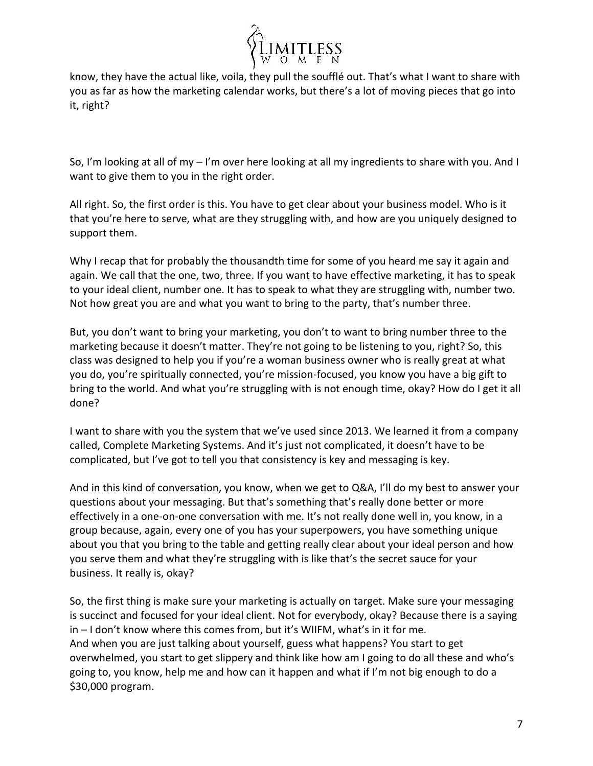

know, they have the actual like, voila, they pull the soufflé out. That's what I want to share with you as far as how the marketing calendar works, but there's a lot of moving pieces that go into it, right?

So, I'm looking at all of my – I'm over here looking at all my ingredients to share with you. And I want to give them to you in the right order.

All right. So, the first order is this. You have to get clear about your business model. Who is it that you're here to serve, what are they struggling with, and how are you uniquely designed to support them.

Why I recap that for probably the thousandth time for some of you heard me say it again and again. We call that the one, two, three. If you want to have effective marketing, it has to speak to your ideal client, number one. It has to speak to what they are struggling with, number two. Not how great you are and what you want to bring to the party, that's number three.

But, you don't want to bring your marketing, you don't to want to bring number three to the marketing because it doesn't matter. They're not going to be listening to you, right? So, this class was designed to help you if you're a woman business owner who is really great at what you do, you're spiritually connected, you're mission-focused, you know you have a big gift to bring to the world. And what you're struggling with is not enough time, okay? How do I get it all done?

I want to share with you the system that we've used since 2013. We learned it from a company called, Complete Marketing Systems. And it's just not complicated, it doesn't have to be complicated, but I've got to tell you that consistency is key and messaging is key.

And in this kind of conversation, you know, when we get to Q&A, I'll do my best to answer your questions about your messaging. But that's something that's really done better or more effectively in a one-on-one conversation with me. It's not really done well in, you know, in a group because, again, every one of you has your superpowers, you have something unique about you that you bring to the table and getting really clear about your ideal person and how you serve them and what they're struggling with is like that's the secret sauce for your business. It really is, okay?

So, the first thing is make sure your marketing is actually on target. Make sure your messaging is succinct and focused for your ideal client. Not for everybody, okay? Because there is a saying in – I don't know where this comes from, but it's WIIFM, what's in it for me. And when you are just talking about yourself, guess what happens? You start to get overwhelmed, you start to get slippery and think like how am I going to do all these and who's going to, you know, help me and how can it happen and what if I'm not big enough to do a \$30,000 program.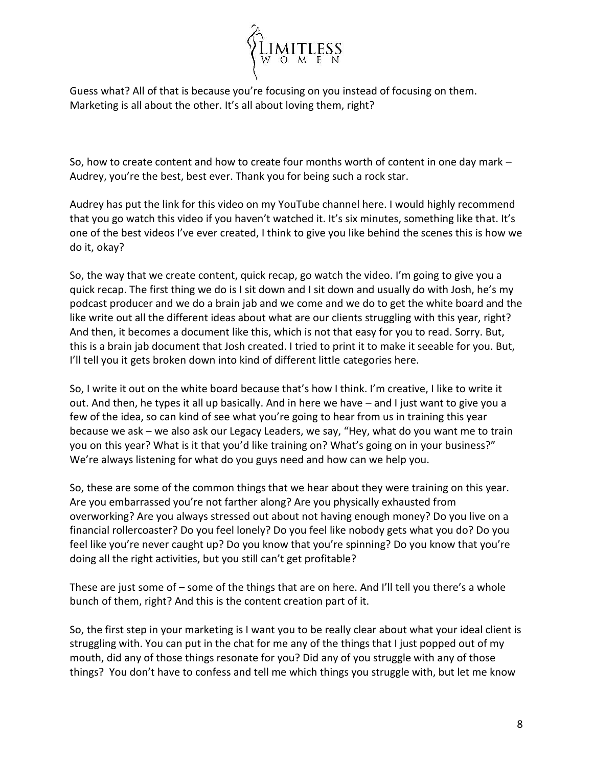

Guess what? All of that is because you're focusing on you instead of focusing on them. Marketing is all about the other. It's all about loving them, right?

So, how to create content and how to create four months worth of content in one day mark – Audrey, you're the best, best ever. Thank you for being such a rock star.

Audrey has put the link for this video on my YouTube channel here. I would highly recommend that you go watch this video if you haven't watched it. It's six minutes, something like that. It's one of the best videos I've ever created, I think to give you like behind the scenes this is how we do it, okay?

So, the way that we create content, quick recap, go watch the video. I'm going to give you a quick recap. The first thing we do is I sit down and I sit down and usually do with Josh, he's my podcast producer and we do a brain jab and we come and we do to get the white board and the like write out all the different ideas about what are our clients struggling with this year, right? And then, it becomes a document like this, which is not that easy for you to read. Sorry. But, this is a brain jab document that Josh created. I tried to print it to make it seeable for you. But, I'll tell you it gets broken down into kind of different little categories here.

So, I write it out on the white board because that's how I think. I'm creative, I like to write it out. And then, he types it all up basically. And in here we have – and I just want to give you a few of the idea, so can kind of see what you're going to hear from us in training this year because we ask – we also ask our Legacy Leaders, we say, "Hey, what do you want me to train you on this year? What is it that you'd like training on? What's going on in your business?" We're always listening for what do you guys need and how can we help you.

So, these are some of the common things that we hear about they were training on this year. Are you embarrassed you're not farther along? Are you physically exhausted from overworking? Are you always stressed out about not having enough money? Do you live on a financial rollercoaster? Do you feel lonely? Do you feel like nobody gets what you do? Do you feel like you're never caught up? Do you know that you're spinning? Do you know that you're doing all the right activities, but you still can't get profitable?

These are just some of – some of the things that are on here. And I'll tell you there's a whole bunch of them, right? And this is the content creation part of it.

So, the first step in your marketing is I want you to be really clear about what your ideal client is struggling with. You can put in the chat for me any of the things that I just popped out of my mouth, did any of those things resonate for you? Did any of you struggle with any of those things? You don't have to confess and tell me which things you struggle with, but let me know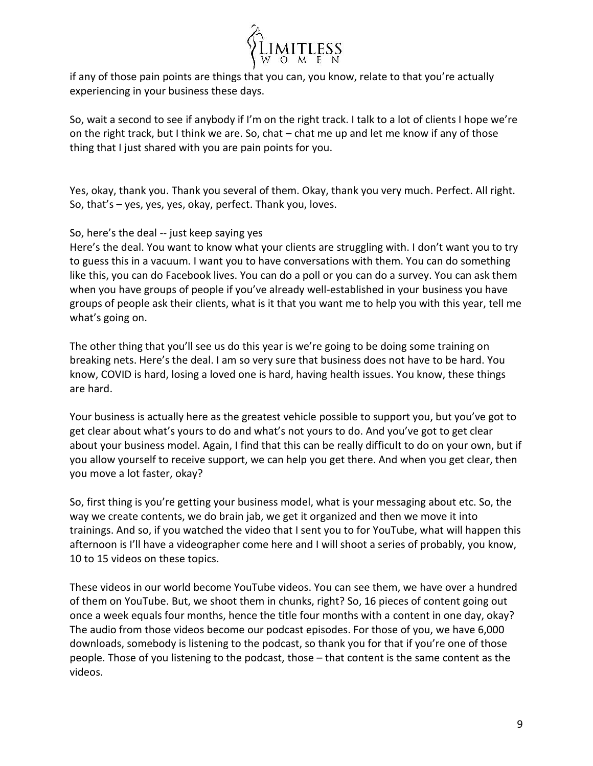

if any of those pain points are things that you can, you know, relate to that you're actually experiencing in your business these days.

So, wait a second to see if anybody if I'm on the right track. I talk to a lot of clients I hope we're on the right track, but I think we are. So, chat – chat me up and let me know if any of those thing that I just shared with you are pain points for you.

Yes, okay, thank you. Thank you several of them. Okay, thank you very much. Perfect. All right. So, that's – yes, yes, yes, okay, perfect. Thank you, loves.

## So, here's the deal -- just keep saying yes

Here's the deal. You want to know what your clients are struggling with. I don't want you to try to guess this in a vacuum. I want you to have conversations with them. You can do something like this, you can do Facebook lives. You can do a poll or you can do a survey. You can ask them when you have groups of people if you've already well-established in your business you have groups of people ask their clients, what is it that you want me to help you with this year, tell me what's going on.

The other thing that you'll see us do this year is we're going to be doing some training on breaking nets. Here's the deal. I am so very sure that business does not have to be hard. You know, COVID is hard, losing a loved one is hard, having health issues. You know, these things are hard.

Your business is actually here as the greatest vehicle possible to support you, but you've got to get clear about what's yours to do and what's not yours to do. And you've got to get clear about your business model. Again, I find that this can be really difficult to do on your own, but if you allow yourself to receive support, we can help you get there. And when you get clear, then you move a lot faster, okay?

So, first thing is you're getting your business model, what is your messaging about etc. So, the way we create contents, we do brain jab, we get it organized and then we move it into trainings. And so, if you watched the video that I sent you to for YouTube, what will happen this afternoon is I'll have a videographer come here and I will shoot a series of probably, you know, 10 to 15 videos on these topics.

These videos in our world become YouTube videos. You can see them, we have over a hundred of them on YouTube. But, we shoot them in chunks, right? So, 16 pieces of content going out once a week equals four months, hence the title four months with a content in one day, okay? The audio from those videos become our podcast episodes. For those of you, we have 6,000 downloads, somebody is listening to the podcast, so thank you for that if you're one of those people. Those of you listening to the podcast, those – that content is the same content as the videos.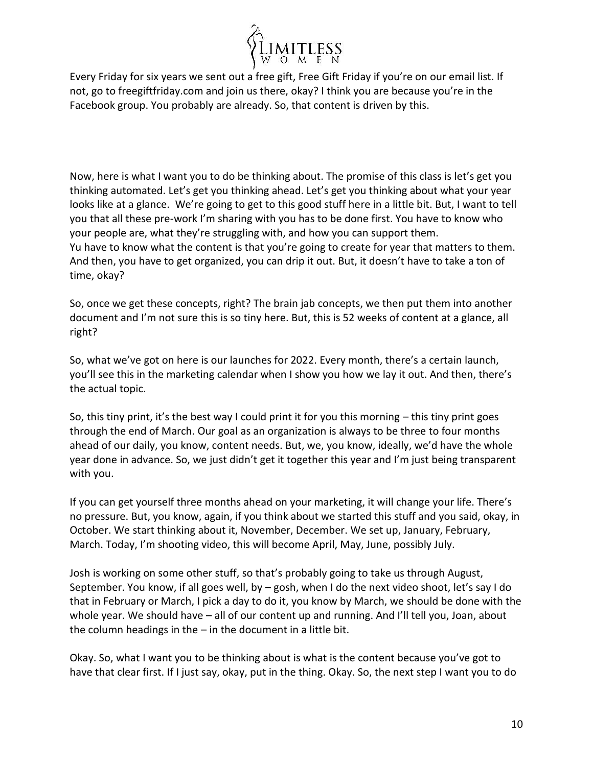

Every Friday for six years we sent out a free gift, Free Gift Friday if you're on our email list. If not, go to freegiftfriday.com and join us there, okay? I think you are because you're in the Facebook group. You probably are already. So, that content is driven by this.

Now, here is what I want you to do be thinking about. The promise of this class is let's get you thinking automated. Let's get you thinking ahead. Let's get you thinking about what your year looks like at a glance. We're going to get to this good stuff here in a little bit. But, I want to tell you that all these pre-work I'm sharing with you has to be done first. You have to know who your people are, what they're struggling with, and how you can support them. Yu have to know what the content is that you're going to create for year that matters to them. And then, you have to get organized, you can drip it out. But, it doesn't have to take a ton of time, okay?

So, once we get these concepts, right? The brain jab concepts, we then put them into another document and I'm not sure this is so tiny here. But, this is 52 weeks of content at a glance, all right?

So, what we've got on here is our launches for 2022. Every month, there's a certain launch, you'll see this in the marketing calendar when I show you how we lay it out. And then, there's the actual topic.

So, this tiny print, it's the best way I could print it for you this morning – this tiny print goes through the end of March. Our goal as an organization is always to be three to four months ahead of our daily, you know, content needs. But, we, you know, ideally, we'd have the whole year done in advance. So, we just didn't get it together this year and I'm just being transparent with you.

If you can get yourself three months ahead on your marketing, it will change your life. There's no pressure. But, you know, again, if you think about we started this stuff and you said, okay, in October. We start thinking about it, November, December. We set up, January, February, March. Today, I'm shooting video, this will become April, May, June, possibly July.

Josh is working on some other stuff, so that's probably going to take us through August, September. You know, if all goes well, by – gosh, when I do the next video shoot, let's say I do that in February or March, I pick a day to do it, you know by March, we should be done with the whole year. We should have – all of our content up and running. And I'll tell you, Joan, about the column headings in the  $-$  in the document in a little bit.

Okay. So, what I want you to be thinking about is what is the content because you've got to have that clear first. If I just say, okay, put in the thing. Okay. So, the next step I want you to do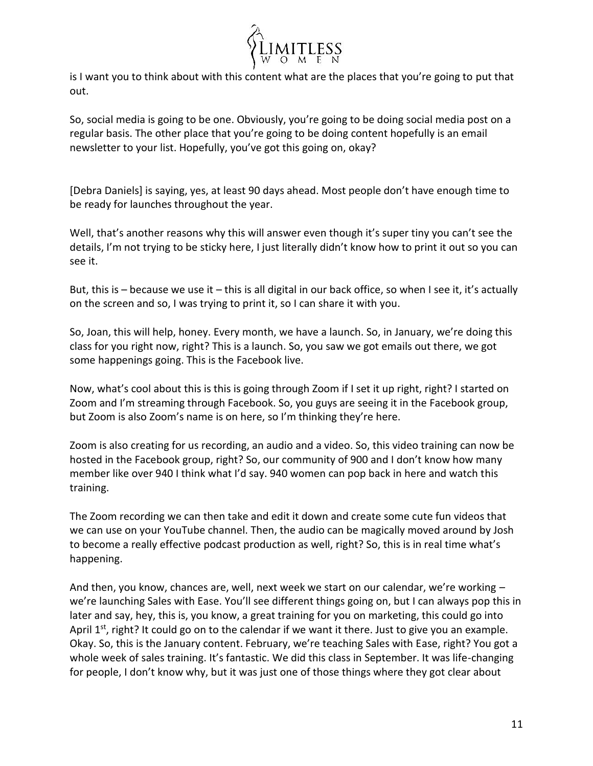

is I want you to think about with this content what are the places that you're going to put that out.

So, social media is going to be one. Obviously, you're going to be doing social media post on a regular basis. The other place that you're going to be doing content hopefully is an email newsletter to your list. Hopefully, you've got this going on, okay?

[Debra Daniels] is saying, yes, at least 90 days ahead. Most people don't have enough time to be ready for launches throughout the year.

Well, that's another reasons why this will answer even though it's super tiny you can't see the details, I'm not trying to be sticky here, I just literally didn't know how to print it out so you can see it.

But, this is – because we use it – this is all digital in our back office, so when I see it, it's actually on the screen and so, I was trying to print it, so I can share it with you.

So, Joan, this will help, honey. Every month, we have a launch. So, in January, we're doing this class for you right now, right? This is a launch. So, you saw we got emails out there, we got some happenings going. This is the Facebook live.

Now, what's cool about this is this is going through Zoom if I set it up right, right? I started on Zoom and I'm streaming through Facebook. So, you guys are seeing it in the Facebook group, but Zoom is also Zoom's name is on here, so I'm thinking they're here.

Zoom is also creating for us recording, an audio and a video. So, this video training can now be hosted in the Facebook group, right? So, our community of 900 and I don't know how many member like over 940 I think what I'd say. 940 women can pop back in here and watch this training.

The Zoom recording we can then take and edit it down and create some cute fun videos that we can use on your YouTube channel. Then, the audio can be magically moved around by Josh to become a really effective podcast production as well, right? So, this is in real time what's happening.

And then, you know, chances are, well, next week we start on our calendar, we're working – we're launching Sales with Ease. You'll see different things going on, but I can always pop this in later and say, hey, this is, you know, a great training for you on marketing, this could go into April  $1<sup>st</sup>$ , right? It could go on to the calendar if we want it there. Just to give you an example. Okay. So, this is the January content. February, we're teaching Sales with Ease, right? You got a whole week of sales training. It's fantastic. We did this class in September. It was life-changing for people, I don't know why, but it was just one of those things where they got clear about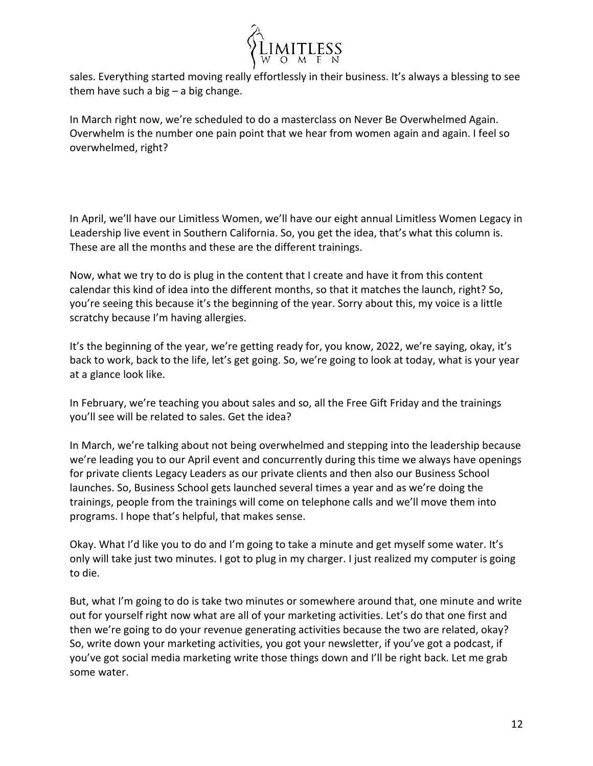

sales. Everything started moving really effortlessly in their business. It's always a blessing to see them have such a big  $-$  a big change.

In March right now, we're scheduled to do a masterclass on Never Be Overwhelmed Again. Overwhelm is the number one pain point that we hear from women again and again. I feel so overwhelmed, right?

In April, we'll have our Limitless Women, we'll have our eight annual Limitless Women Legacy in Leadership live event in Southern California. So, you get the idea, that's what this column is. These are all the months and these are the different trainings.

Now, what we try to do is plug in the content that I create and have it from this content calendar this kind of idea into the different months, so that it matches the launch, right? So, you're seeing this because it's the beginning of the year. Sorry about this, my voice is a little scratchy because I'm having allergies.

It's the beginning of the year, we're getting ready for, you know, 2022, we're saying, okay, it's back to work, back to the life, let's get going. So, we're going to look at today, what is your year at a glance look like.

In February, we're teaching you about sales and so, all the Free Gift Friday and the trainings you'll see will be related to sales. Get the idea?

In March, we're talking about not being overwhelmed and stepping into the leadership because we're leading you to our April event and concurrently during this time we always have openings for private clients Legacy Leaders as our private clients and then also our Business School launches. So, Business School gets launched several times a year and as we're doing the trainings, people from the trainings will come on telephone calls and we'll move them into programs. I hope that's helpful, that makes sense.

Okay. What I'd like you to do and I'm going to take a minute and get myself some water. It's only will take just two minutes. I got to plug in my charger. I just realized my computer is going to die.

But, what I'm going to do is take two minutes or somewhere around that, one minute and write out for yourself right now what are all of your marketing activities. Let's do that one first and then we're going to do your revenue generating activities because the two are related, okay? So, write down your marketing activities, you got your newsletter, if you've got a podcast, if you've got social media marketing write those things down and I'll be right back. Let me grab some water.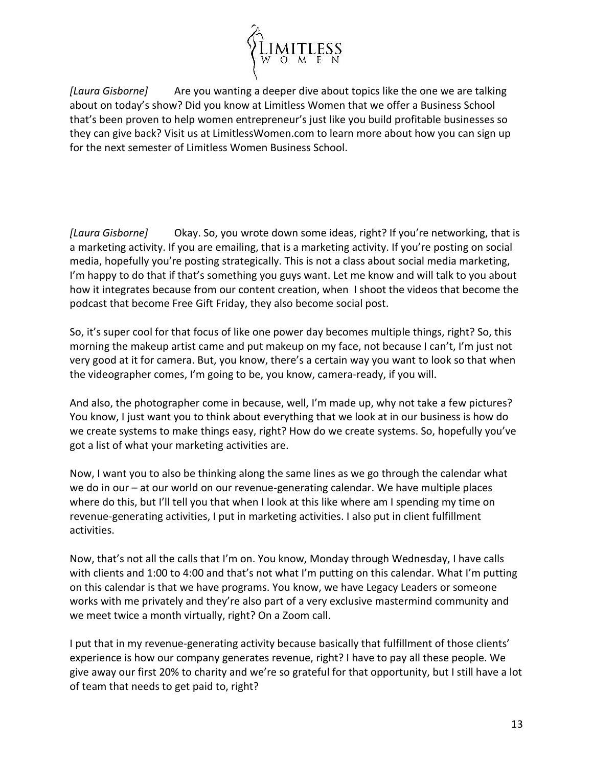

*[Laura Gisborne]* Are you wanting a deeper dive about topics like the one we are talking about on today's show? Did you know at Limitless Women that we offer a Business School that's been proven to help women entrepreneur's just like you build profitable businesses so they can give back? Visit us at LimitlessWomen.com to learn more about how you can sign up for the next semester of Limitless Women Business School.

*[Laura Gisborne]* Okay. So, you wrote down some ideas, right? If you're networking, that is a marketing activity. If you are emailing, that is a marketing activity. If you're posting on social media, hopefully you're posting strategically. This is not a class about social media marketing, I'm happy to do that if that's something you guys want. Let me know and will talk to you about how it integrates because from our content creation, when I shoot the videos that become the podcast that become Free Gift Friday, they also become social post.

So, it's super cool for that focus of like one power day becomes multiple things, right? So, this morning the makeup artist came and put makeup on my face, not because I can't, I'm just not very good at it for camera. But, you know, there's a certain way you want to look so that when the videographer comes, I'm going to be, you know, camera-ready, if you will.

And also, the photographer come in because, well, I'm made up, why not take a few pictures? You know, I just want you to think about everything that we look at in our business is how do we create systems to make things easy, right? How do we create systems. So, hopefully you've got a list of what your marketing activities are.

Now, I want you to also be thinking along the same lines as we go through the calendar what we do in our – at our world on our revenue-generating calendar. We have multiple places where do this, but I'll tell you that when I look at this like where am I spending my time on revenue-generating activities, I put in marketing activities. I also put in client fulfillment activities.

Now, that's not all the calls that I'm on. You know, Monday through Wednesday, I have calls with clients and 1:00 to 4:00 and that's not what I'm putting on this calendar. What I'm putting on this calendar is that we have programs. You know, we have Legacy Leaders or someone works with me privately and they're also part of a very exclusive mastermind community and we meet twice a month virtually, right? On a Zoom call.

I put that in my revenue-generating activity because basically that fulfillment of those clients' experience is how our company generates revenue, right? I have to pay all these people. We give away our first 20% to charity and we're so grateful for that opportunity, but I still have a lot of team that needs to get paid to, right?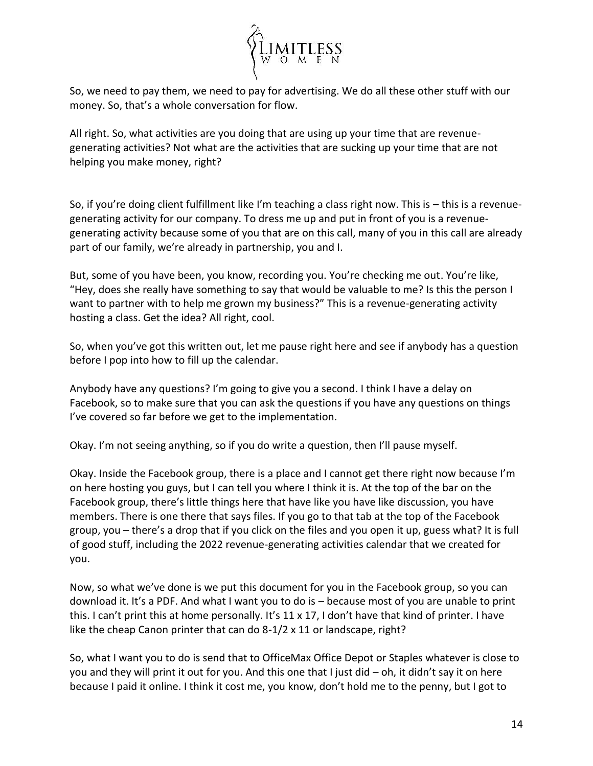

So, we need to pay them, we need to pay for advertising. We do all these other stuff with our money. So, that's a whole conversation for flow.

All right. So, what activities are you doing that are using up your time that are revenuegenerating activities? Not what are the activities that are sucking up your time that are not helping you make money, right?

So, if you're doing client fulfillment like I'm teaching a class right now. This is – this is a revenuegenerating activity for our company. To dress me up and put in front of you is a revenuegenerating activity because some of you that are on this call, many of you in this call are already part of our family, we're already in partnership, you and I.

But, some of you have been, you know, recording you. You're checking me out. You're like, "Hey, does she really have something to say that would be valuable to me? Is this the person I want to partner with to help me grown my business?" This is a revenue-generating activity hosting a class. Get the idea? All right, cool.

So, when you've got this written out, let me pause right here and see if anybody has a question before I pop into how to fill up the calendar.

Anybody have any questions? I'm going to give you a second. I think I have a delay on Facebook, so to make sure that you can ask the questions if you have any questions on things I've covered so far before we get to the implementation.

Okay. I'm not seeing anything, so if you do write a question, then I'll pause myself.

Okay. Inside the Facebook group, there is a place and I cannot get there right now because I'm on here hosting you guys, but I can tell you where I think it is. At the top of the bar on the Facebook group, there's little things here that have like you have like discussion, you have members. There is one there that says files. If you go to that tab at the top of the Facebook group, you – there's a drop that if you click on the files and you open it up, guess what? It is full of good stuff, including the 2022 revenue-generating activities calendar that we created for you.

Now, so what we've done is we put this document for you in the Facebook group, so you can download it. It's a PDF. And what I want you to do is – because most of you are unable to print this. I can't print this at home personally. It's 11 x 17, I don't have that kind of printer. I have like the cheap Canon printer that can do 8-1/2 x 11 or landscape, right?

So, what I want you to do is send that to OfficeMax Office Depot or Staples whatever is close to you and they will print it out for you. And this one that I just did – oh, it didn't say it on here because I paid it online. I think it cost me, you know, don't hold me to the penny, but I got to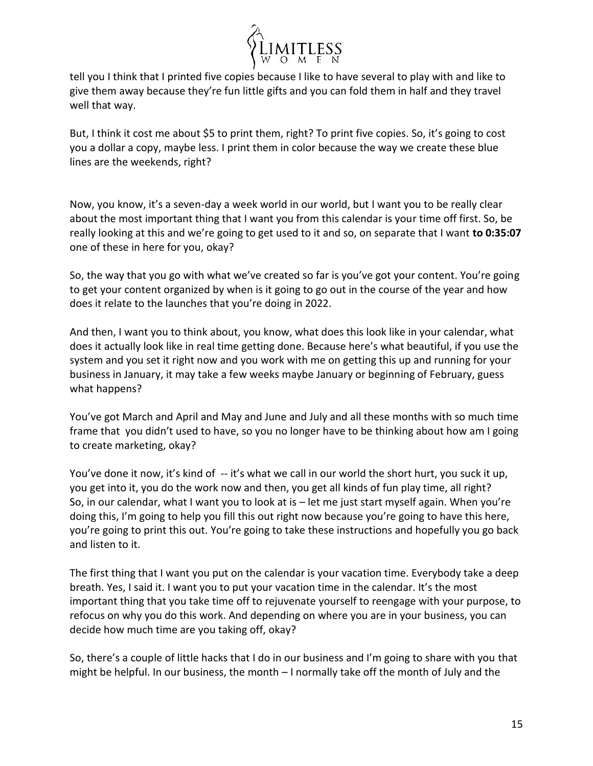

tell you I think that I printed five copies because I like to have several to play with and like to give them away because they're fun little gifts and you can fold them in half and they travel well that way.

But, I think it cost me about \$5 to print them, right? To print five copies. So, it's going to cost you a dollar a copy, maybe less. I print them in color because the way we create these blue lines are the weekends, right?

Now, you know, it's a seven-day a week world in our world, but I want you to be really clear about the most important thing that I want you from this calendar is your time off first. So, be really looking at this and we're going to get used to it and so, on separate that I want **to 0:35:07** one of these in here for you, okay?

So, the way that you go with what we've created so far is you've got your content. You're going to get your content organized by when is it going to go out in the course of the year and how does it relate to the launches that you're doing in 2022.

And then, I want you to think about, you know, what does this look like in your calendar, what does it actually look like in real time getting done. Because here's what beautiful, if you use the system and you set it right now and you work with me on getting this up and running for your business in January, it may take a few weeks maybe January or beginning of February, guess what happens?

You've got March and April and May and June and July and all these months with so much time frame that you didn't used to have, so you no longer have to be thinking about how am I going to create marketing, okay?

You've done it now, it's kind of -- it's what we call in our world the short hurt, you suck it up, you get into it, you do the work now and then, you get all kinds of fun play time, all right? So, in our calendar, what I want you to look at is – let me just start myself again. When you're doing this, I'm going to help you fill this out right now because you're going to have this here, you're going to print this out. You're going to take these instructions and hopefully you go back and listen to it.

The first thing that I want you put on the calendar is your vacation time. Everybody take a deep breath. Yes, I said it. I want you to put your vacation time in the calendar. It's the most important thing that you take time off to rejuvenate yourself to reengage with your purpose, to refocus on why you do this work. And depending on where you are in your business, you can decide how much time are you taking off, okay?

So, there's a couple of little hacks that I do in our business and I'm going to share with you that might be helpful. In our business, the month – I normally take off the month of July and the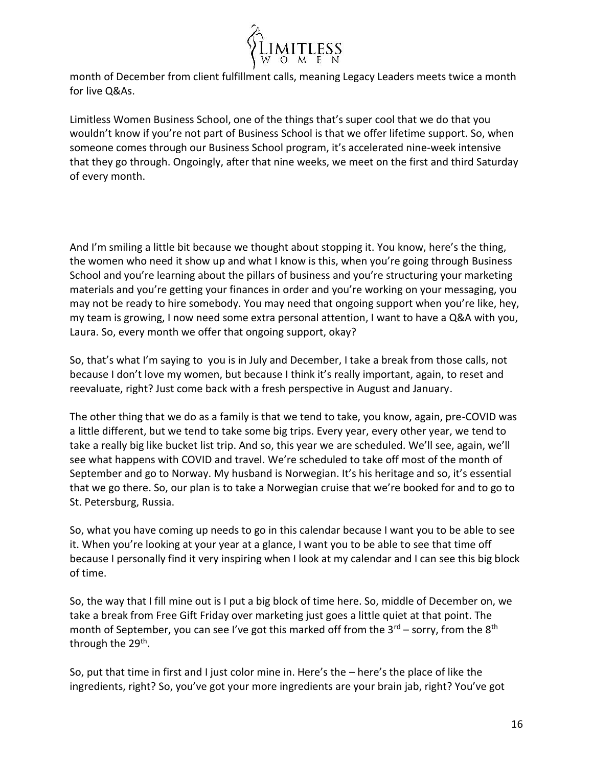

month of December from client fulfillment calls, meaning Legacy Leaders meets twice a month for live Q&As.

Limitless Women Business School, one of the things that's super cool that we do that you wouldn't know if you're not part of Business School is that we offer lifetime support. So, when someone comes through our Business School program, it's accelerated nine-week intensive that they go through. Ongoingly, after that nine weeks, we meet on the first and third Saturday of every month.

And I'm smiling a little bit because we thought about stopping it. You know, here's the thing, the women who need it show up and what I know is this, when you're going through Business School and you're learning about the pillars of business and you're structuring your marketing materials and you're getting your finances in order and you're working on your messaging, you may not be ready to hire somebody. You may need that ongoing support when you're like, hey, my team is growing, I now need some extra personal attention, I want to have a Q&A with you, Laura. So, every month we offer that ongoing support, okay?

So, that's what I'm saying to you is in July and December, I take a break from those calls, not because I don't love my women, but because I think it's really important, again, to reset and reevaluate, right? Just come back with a fresh perspective in August and January.

The other thing that we do as a family is that we tend to take, you know, again, pre-COVID was a little different, but we tend to take some big trips. Every year, every other year, we tend to take a really big like bucket list trip. And so, this year we are scheduled. We'll see, again, we'll see what happens with COVID and travel. We're scheduled to take off most of the month of September and go to Norway. My husband is Norwegian. It's his heritage and so, it's essential that we go there. So, our plan is to take a Norwegian cruise that we're booked for and to go to St. Petersburg, Russia.

So, what you have coming up needs to go in this calendar because I want you to be able to see it. When you're looking at your year at a glance, I want you to be able to see that time off because I personally find it very inspiring when I look at my calendar and I can see this big block of time.

So, the way that I fill mine out is I put a big block of time here. So, middle of December on, we take a break from Free Gift Friday over marketing just goes a little quiet at that point. The month of September, you can see I've got this marked off from the  $3<sup>rd</sup>$  – sorry, from the  $8<sup>th</sup>$ through the 29<sup>th</sup>.

So, put that time in first and I just color mine in. Here's the – here's the place of like the ingredients, right? So, you've got your more ingredients are your brain jab, right? You've got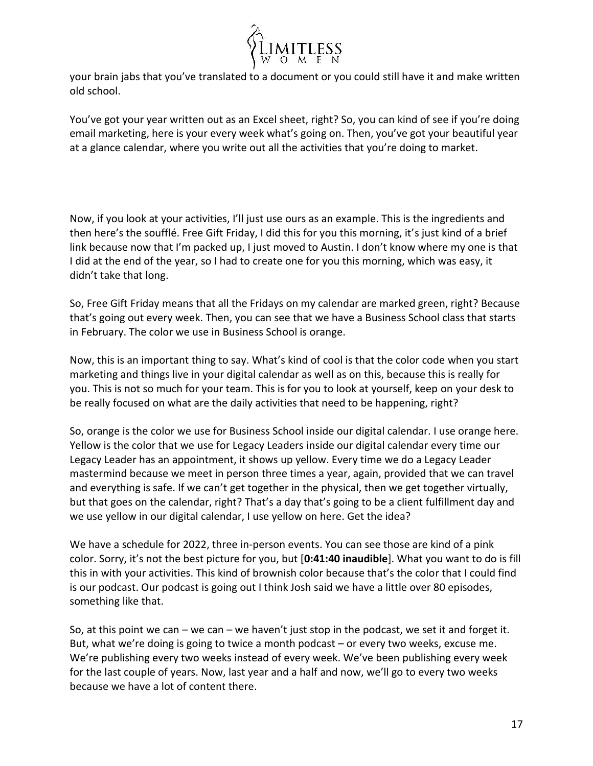

your brain jabs that you've translated to a document or you could still have it and make written old school.

You've got your year written out as an Excel sheet, right? So, you can kind of see if you're doing email marketing, here is your every week what's going on. Then, you've got your beautiful year at a glance calendar, where you write out all the activities that you're doing to market.

Now, if you look at your activities, I'll just use ours as an example. This is the ingredients and then here's the soufflé. Free Gift Friday, I did this for you this morning, it's just kind of a brief link because now that I'm packed up, I just moved to Austin. I don't know where my one is that I did at the end of the year, so I had to create one for you this morning, which was easy, it didn't take that long.

So, Free Gift Friday means that all the Fridays on my calendar are marked green, right? Because that's going out every week. Then, you can see that we have a Business School class that starts in February. The color we use in Business School is orange.

Now, this is an important thing to say. What's kind of cool is that the color code when you start marketing and things live in your digital calendar as well as on this, because this is really for you. This is not so much for your team. This is for you to look at yourself, keep on your desk to be really focused on what are the daily activities that need to be happening, right?

So, orange is the color we use for Business School inside our digital calendar. I use orange here. Yellow is the color that we use for Legacy Leaders inside our digital calendar every time our Legacy Leader has an appointment, it shows up yellow. Every time we do a Legacy Leader mastermind because we meet in person three times a year, again, provided that we can travel and everything is safe. If we can't get together in the physical, then we get together virtually, but that goes on the calendar, right? That's a day that's going to be a client fulfillment day and we use yellow in our digital calendar, I use yellow on here. Get the idea?

We have a schedule for 2022, three in-person events. You can see those are kind of a pink color. Sorry, it's not the best picture for you, but [**0:41:40 inaudible**]. What you want to do is fill this in with your activities. This kind of brownish color because that's the color that I could find is our podcast. Our podcast is going out I think Josh said we have a little over 80 episodes, something like that.

So, at this point we can – we can – we haven't just stop in the podcast, we set it and forget it. But, what we're doing is going to twice a month podcast – or every two weeks, excuse me. We're publishing every two weeks instead of every week. We've been publishing every week for the last couple of years. Now, last year and a half and now, we'll go to every two weeks because we have a lot of content there.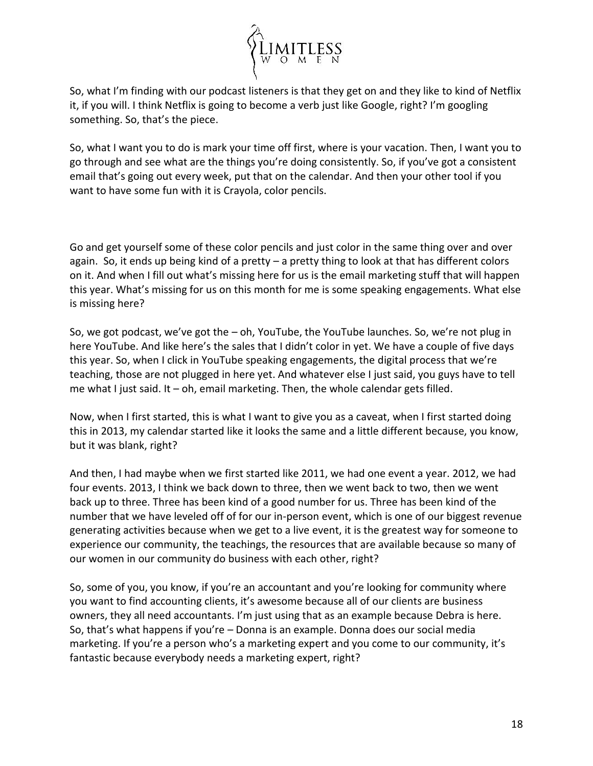

So, what I'm finding with our podcast listeners is that they get on and they like to kind of Netflix it, if you will. I think Netflix is going to become a verb just like Google, right? I'm googling something. So, that's the piece.

So, what I want you to do is mark your time off first, where is your vacation. Then, I want you to go through and see what are the things you're doing consistently. So, if you've got a consistent email that's going out every week, put that on the calendar. And then your other tool if you want to have some fun with it is Crayola, color pencils.

Go and get yourself some of these color pencils and just color in the same thing over and over again. So, it ends up being kind of a pretty – a pretty thing to look at that has different colors on it. And when I fill out what's missing here for us is the email marketing stuff that will happen this year. What's missing for us on this month for me is some speaking engagements. What else is missing here?

So, we got podcast, we've got the – oh, YouTube, the YouTube launches. So, we're not plug in here YouTube. And like here's the sales that I didn't color in yet. We have a couple of five days this year. So, when I click in YouTube speaking engagements, the digital process that we're teaching, those are not plugged in here yet. And whatever else I just said, you guys have to tell me what I just said. It  $-$  oh, email marketing. Then, the whole calendar gets filled.

Now, when I first started, this is what I want to give you as a caveat, when I first started doing this in 2013, my calendar started like it looks the same and a little different because, you know, but it was blank, right?

And then, I had maybe when we first started like 2011, we had one event a year. 2012, we had four events. 2013, I think we back down to three, then we went back to two, then we went back up to three. Three has been kind of a good number for us. Three has been kind of the number that we have leveled off of for our in-person event, which is one of our biggest revenue generating activities because when we get to a live event, it is the greatest way for someone to experience our community, the teachings, the resources that are available because so many of our women in our community do business with each other, right?

So, some of you, you know, if you're an accountant and you're looking for community where you want to find accounting clients, it's awesome because all of our clients are business owners, they all need accountants. I'm just using that as an example because Debra is here. So, that's what happens if you're – Donna is an example. Donna does our social media marketing. If you're a person who's a marketing expert and you come to our community, it's fantastic because everybody needs a marketing expert, right?